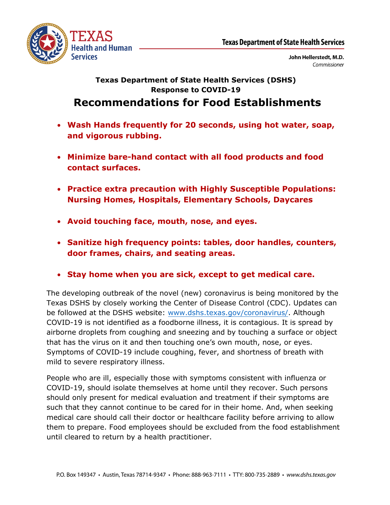

John Hellerstedt, M.D. Commissioner

## **Texas Department of State Health Services (DSHS) Response to COVID-19**

## **Recommendations for Food Establishments**

- **Wash Hands frequently for 20 seconds, using hot water, soap, and vigorous rubbing.**
- **Minimize bare-hand contact with all food products and food contact surfaces.**
- **Practice extra precaution with Highly Susceptible Populations: Nursing Homes, Hospitals, Elementary Schools, Daycares**
- **Avoid touching face, mouth, nose, and eyes.**
- **Sanitize high frequency points: tables, door handles, counters, door frames, chairs, and seating areas.**
- **Stay home when you are sick, except to get medical care.**

The developing outbreak of the novel (new) coronavirus is being monitored by the Texas DSHS by closely working the Center of Disease Control (CDC). Updates can be followed at the DSHS website: www.dshs.texas.gov[/coronavirus/.](https://www.dshs.texas.gov/coronavirus/) Although COVID-19 is not identified as a foodborne illness, it is contagious. It is spread by airborne droplets from coughing and sneezing and by touching a surface or object that has the virus on it and then touching one's own mouth, nose, or eyes. Symptoms of COVID-19 include coughing, fever, and shortness of breath with mild to severe respiratory illness.

People who are ill, especially those with symptoms consistent with influenza or COVID-19, should isolate themselves at home until they recover. Such persons should only present for medical evaluation and treatment if their symptoms are such that they cannot continue to be cared for in their home. And, when seeking medical care should call their doctor or healthcare facility before arriving to allow them to prepare. Food employees should be excluded from the food establishment until cleared to return by a health practitioner.